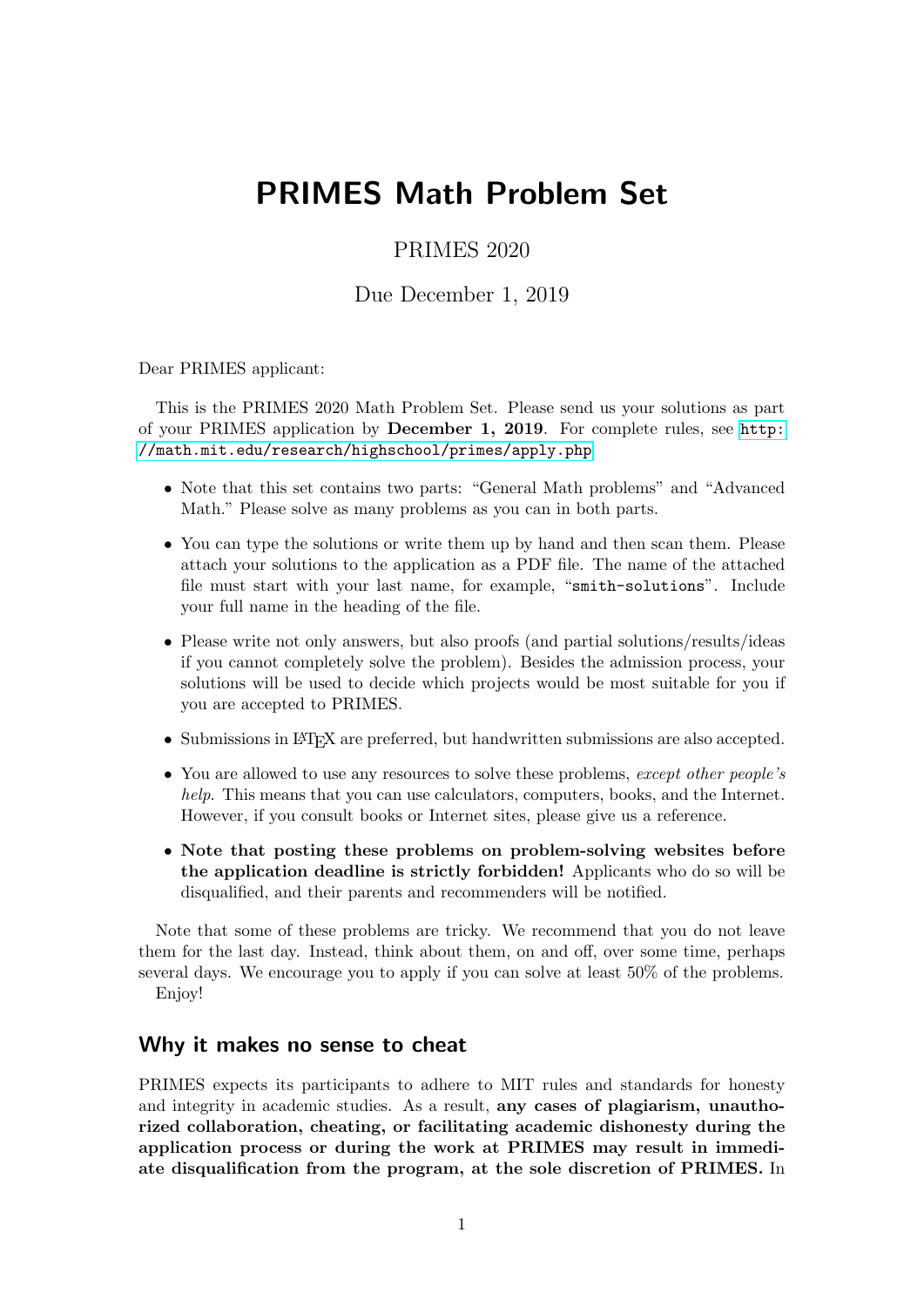# PRIMES Math Problem Set

## PRIMES 2020

Due December 1, 2019

Dear PRIMES applicant:

This is the PRIMES 2020 Math Problem Set. Please send us your solutions as part of your PRIMES application by December 1, 2019. For complete rules, see [http:](http://math.mit.edu/research/highschool/primes/apply.php) [//math.mit.edu/research/highschool/primes/apply.php](http://math.mit.edu/research/highschool/primes/apply.php)

- Note that this set contains two parts: "General Math problems" and "Advanced Math." Please solve as many problems as you can in both parts.
- You can type the solutions or write them up by hand and then scan them. Please attach your solutions to the application as a PDF file. The name of the attached file must start with your last name, for example, "smith-solutions". Include your full name in the heading of the file.
- Please write not only answers, but also proofs (and partial solutions/results/ideas if you cannot completely solve the problem). Besides the admission process, your solutions will be used to decide which projects would be most suitable for you if you are accepted to PRIMES.
- Submissions in LAT<sub>EX</sub> are preferred, but handwritten submissions are also accepted.
- You are allowed to use any resources to solve these problems, except other people's help. This means that you can use calculators, computers, books, and the Internet. However, if you consult books or Internet sites, please give us a reference.
- Note that posting these problems on problem-solving websites before the application deadline is strictly forbidden! Applicants who do so will be disqualified, and their parents and recommenders will be notified.

Note that some of these problems are tricky. We recommend that you do not leave them for the last day. Instead, think about them, on and off, over some time, perhaps several days. We encourage you to apply if you can solve at least 50% of the problems. Enjoy!

#### Why it makes no sense to cheat

PRIMES expects its participants to adhere to MIT rules and standards for honesty and integrity in academic studies. As a result, any cases of plagiarism, unauthorized collaboration, cheating, or facilitating academic dishonesty during the application process or during the work at PRIMES may result in immediate disqualification from the program, at the sole discretion of PRIMES. In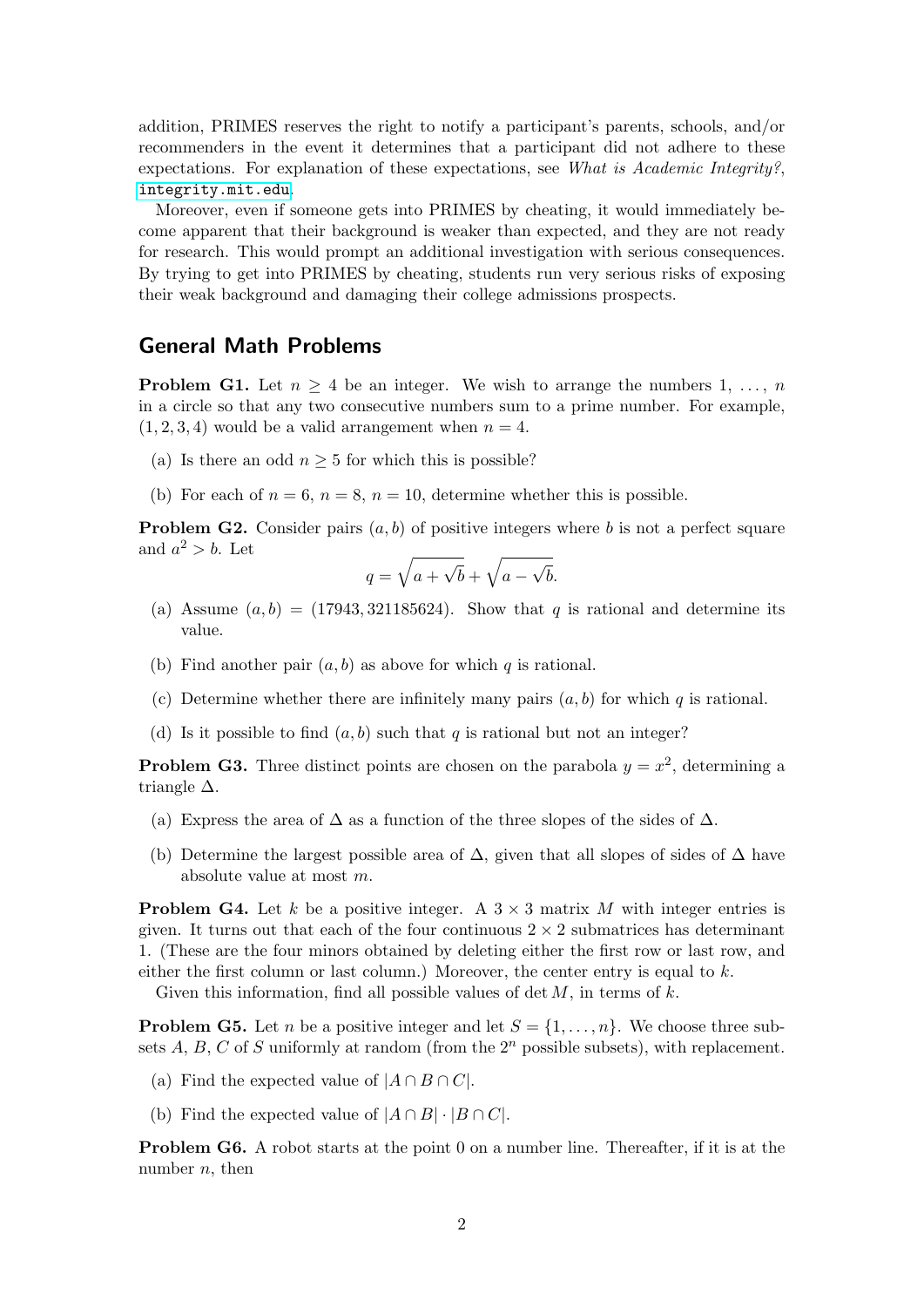addition, PRIMES reserves the right to notify a participant's parents, schools, and/or recommenders in the event it determines that a participant did not adhere to these expectations. For explanation of these expectations, see What is Academic Integrity?, <integrity.mit.edu>.

Moreover, even if someone gets into PRIMES by cheating, it would immediately become apparent that their background is weaker than expected, and they are not ready for research. This would prompt an additional investigation with serious consequences. By trying to get into PRIMES by cheating, students run very serious risks of exposing their weak background and damaging their college admissions prospects.

#### General Math Problems

**Problem G1.** Let  $n \geq 4$  be an integer. We wish to arrange the numbers 1, ..., n in a circle so that any two consecutive numbers sum to a prime number. For example,  $(1, 2, 3, 4)$  would be a valid arrangement when  $n = 4$ .

- (a) Is there an odd  $n \geq 5$  for which this is possible?
- (b) For each of  $n = 6$ ,  $n = 8$ ,  $n = 10$ , determine whether this is possible.

**Problem G2.** Consider pairs  $(a, b)$  of positive integers where b is not a perfect square and  $a^2 > b$ . Let

$$
q = \sqrt{a + \sqrt{b}} + \sqrt{a - \sqrt{b}}.
$$

- (a) Assume  $(a, b) = (17943, 321185624)$ . Show that q is rational and determine its value.
- (b) Find another pair  $(a, b)$  as above for which q is rational.
- (c) Determine whether there are infinitely many pairs  $(a, b)$  for which q is rational.
- (d) Is it possible to find  $(a, b)$  such that q is rational but not an integer?

**Problem G3.** Three distinct points are chosen on the parabola  $y = x^2$ , determining a triangle  $\Delta$ .

- (a) Express the area of  $\Delta$  as a function of the three slopes of the sides of  $\Delta$ .
- (b) Determine the largest possible area of  $\Delta$ , given that all slopes of sides of  $\Delta$  have absolute value at most m.

**Problem G4.** Let k be a positive integer. A  $3 \times 3$  matrix M with integer entries is given. It turns out that each of the four continuous  $2 \times 2$  submatrices has determinant 1. (These are the four minors obtained by deleting either the first row or last row, and either the first column or last column.) Moreover, the center entry is equal to  $k$ .

Given this information, find all possible values of  $\det M$ , in terms of k.

**Problem G5.** Let *n* be a positive integer and let  $S = \{1, \ldots, n\}$ . We choose three subsets A, B, C of S uniformly at random (from the  $2^n$  possible subsets), with replacement.

- (a) Find the expected value of  $|A \cap B \cap C|$ .
- (b) Find the expected value of  $|A \cap B| \cdot |B \cap C|$ .

Problem G6. A robot starts at the point 0 on a number line. Thereafter, if it is at the number  $n$ , then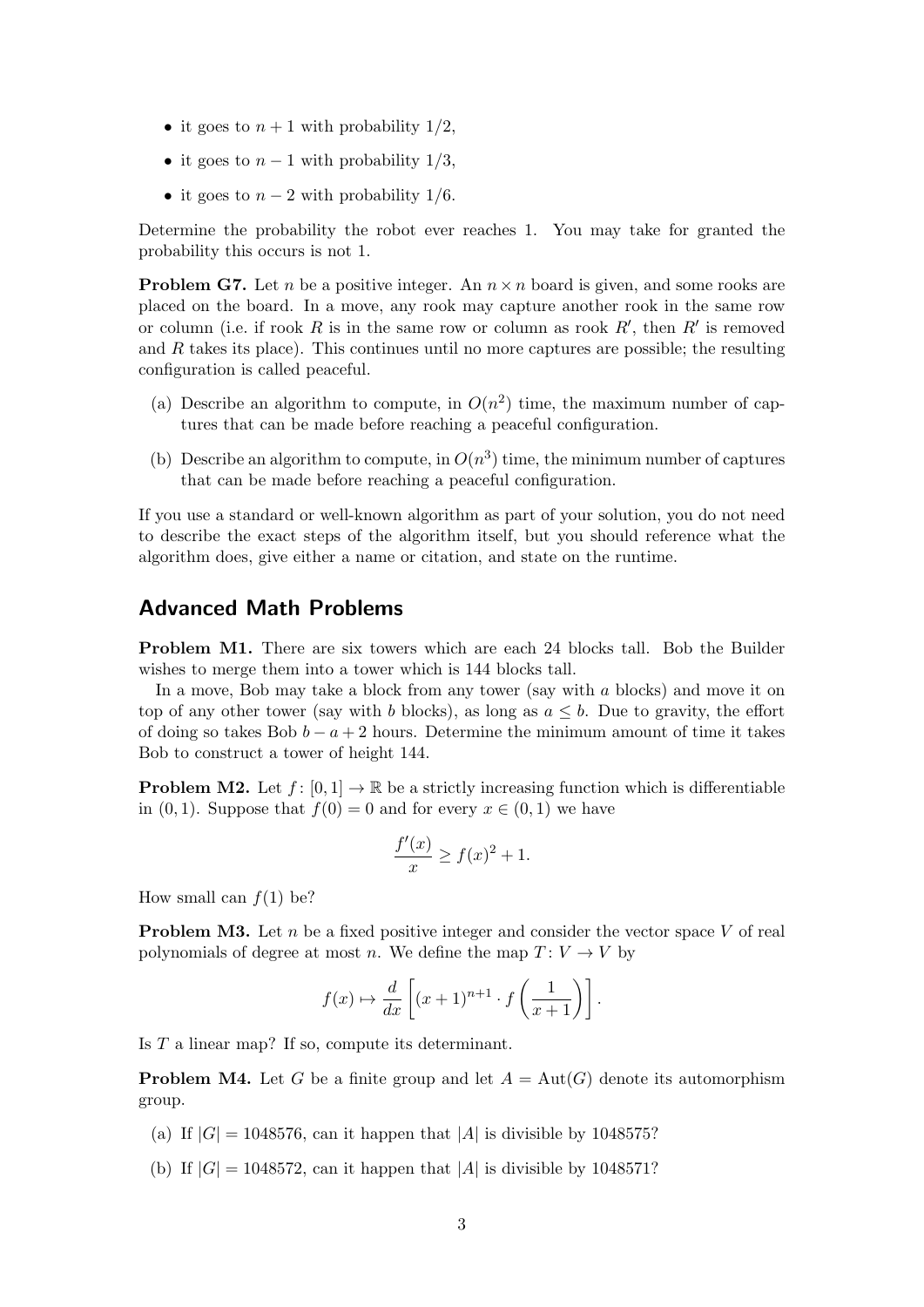- it goes to  $n+1$  with probability  $1/2$ ,
- it goes to  $n-1$  with probability  $1/3$ ,
- it goes to  $n-2$  with probability 1/6.

Determine the probability the robot ever reaches 1. You may take for granted the probability this occurs is not 1.

**Problem G7.** Let n be a positive integer. An  $n \times n$  board is given, and some rooks are placed on the board. In a move, any rook may capture another rook in the same row or column (i.e. if rook R is in the same row or column as rook  $R'$ , then  $R'$  is removed and  $R$  takes its place). This continues until no more captures are possible; the resulting configuration is called peaceful.

- (a) Describe an algorithm to compute, in  $O(n^2)$  time, the maximum number of captures that can be made before reaching a peaceful configuration.
- (b) Describe an algorithm to compute, in  $O(n^3)$  time, the minimum number of captures that can be made before reaching a peaceful configuration.

If you use a standard or well-known algorithm as part of your solution, you do not need to describe the exact steps of the algorithm itself, but you should reference what the algorithm does, give either a name or citation, and state on the runtime.

### Advanced Math Problems

Problem M1. There are six towers which are each 24 blocks tall. Bob the Builder wishes to merge them into a tower which is 144 blocks tall.

In a move, Bob may take a block from any tower (say with  $a$  blocks) and move it on top of any other tower (say with b blocks), as long as  $a \leq b$ . Due to gravity, the effort of doing so takes Bob  $b - a + 2$  hours. Determine the minimum amount of time it takes Bob to construct a tower of height 144.

**Problem M2.** Let  $f: [0,1] \to \mathbb{R}$  be a strictly increasing function which is differentiable in  $(0, 1)$ . Suppose that  $f(0) = 0$  and for every  $x \in (0, 1)$  we have

$$
\frac{f'(x)}{x} \ge f(x)^2 + 1.
$$

How small can  $f(1)$  be?

**Problem M3.** Let n be a fixed positive integer and consider the vector space V of real polynomials of degree at most n. We define the map  $T: V \to V$  by

$$
f(x) \mapsto \frac{d}{dx} \left[ (x+1)^{n+1} \cdot f\left(\frac{1}{x+1}\right) \right].
$$

Is T a linear map? If so, compute its determinant.

**Problem M4.** Let G be a finite group and let  $A = Aut(G)$  denote its automorphism group.

- (a) If  $|G| = 1048576$ , can it happen that |A| is divisible by 1048575?
- (b) If  $|G| = 1048572$ , can it happen that  $|A|$  is divisible by 1048571?